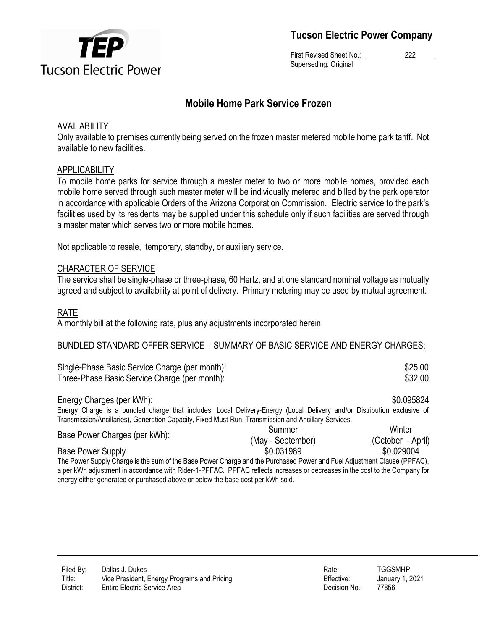

Tucson Electric Power Company

First Revised Sheet No.: 222 Superseding: Original

# Mobile Home Park Service Frozen

# AVAILABILITY

Only available to premises currently being served on the frozen master metered mobile home park tariff. Not available to new facilities.

## APPLICABILITY

To mobile home parks for service through a master meter to two or more mobile homes, provided each mobile home served through such master meter will be individually metered and billed by the park operator in accordance with applicable Orders of the Arizona Corporation Commission. Electric service to the park's facilities used by its residents may be supplied under this schedule only if such facilities are served through a master meter which serves two or more mobile homes.

Not applicable to resale, temporary, standby, or auxiliary service.

#### CHARACTER OF SERVICE

The service shall be single-phase or three-phase, 60 Hertz, and at one standard nominal voltage as mutually agreed and subject to availability at point of delivery. Primary metering may be used by mutual agreement.

#### RATE

A monthly bill at the following rate, plus any adjustments incorporated herein.

#### BUNDLED STANDARD OFFER SERVICE – SUMMARY OF BASIC SERVICE AND ENERGY CHARGES:

| Single-Phase Basic Service Charge (per month): | \$25.00 |
|------------------------------------------------|---------|
| Three-Phase Basic Service Charge (per month):  | \$32.00 |

Energy Charges (per kWh):  $$0.095824$ Energy Charge is a bundled charge that includes: Local Delivery-Energy (Local Delivery and/or Distribution exclusive of Transmission/Ancillaries), Generation Capacity, Fixed Must-Run, Transmission and Ancillary Services. Winter

| Base Power Charges (per kWh):                                                                                          | Summer            | Winter            |
|------------------------------------------------------------------------------------------------------------------------|-------------------|-------------------|
|                                                                                                                        | (May - September) | (October - April) |
| Base Power Supply                                                                                                      | \$0.031989        | \$0.029004        |
| The Power Supply Charge is the sum of the Rase Power Charge and the Purchased Power and Fuel Adjustment Clause (PPFAC) |                   |                   |

The Power Supply Charge is the sum of the Base Power Charge and the Purchased Power and Fuel Adjustment Clause (PPFAC), a per kWh adjustment in accordance with Rider-1-PPFAC. PPFAC reflects increases or decreases in the cost to the Company for energy either generated or purchased above or below the base cost per kWh sold.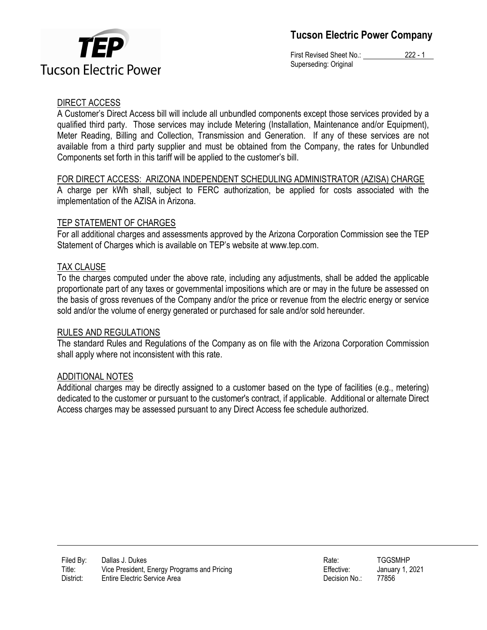

First Revised Sheet No.: 222 - 1 Superseding: Original

# DIRECT ACCESS

A Customer's Direct Access bill will include all unbundled components except those services provided by a qualified third party. Those services may include Metering (Installation, Maintenance and/or Equipment), Meter Reading, Billing and Collection, Transmission and Generation. If any of these services are not available from a third party supplier and must be obtained from the Company, the rates for Unbundled Components set forth in this tariff will be applied to the customer's bill.

#### FOR DIRECT ACCESS: ARIZONA INDEPENDENT SCHEDULING ADMINISTRATOR (AZISA) CHARGE

A charge per kWh shall, subject to FERC authorization, be applied for costs associated with the implementation of the AZISA in Arizona.

## TEP STATEMENT OF CHARGES

For all additional charges and assessments approved by the Arizona Corporation Commission see the TEP Statement of Charges which is available on TEP's website at www.tep.com.

#### TAX CLAUSE

To the charges computed under the above rate, including any adjustments, shall be added the applicable proportionate part of any taxes or governmental impositions which are or may in the future be assessed on the basis of gross revenues of the Company and/or the price or revenue from the electric energy or service sold and/or the volume of energy generated or purchased for sale and/or sold hereunder.

#### RULES AND REGULATIONS

The standard Rules and Regulations of the Company as on file with the Arizona Corporation Commission shall apply where not inconsistent with this rate.

#### ADDITIONAL NOTES

Additional charges may be directly assigned to a customer based on the type of facilities (e.g., metering) dedicated to the customer or pursuant to the customer's contract, if applicable. Additional or alternate Direct Access charges may be assessed pursuant to any Direct Access fee schedule authorized.